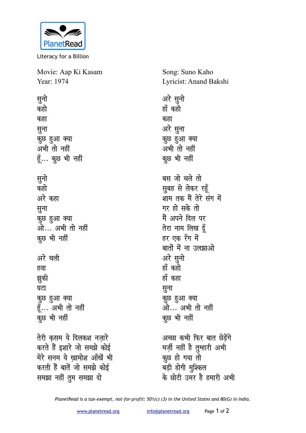

Literacy for a Billion

Movie: Aap Ki Kasam Year: 1974

सुनो कहो कहा सूना कुछ हुआ क्या अभी तो नहीं हूँ... कुछ भी नहीं सूनो कहो अरे कहा सुना कुछ हुआ क्या ओ... अभी तो नहीं कूछ भी नहीं अरे चली हवा झूकी घटा कुछ हुआ क्या हूँ... अभी तो नहीं कुछ भी नहीं तेरी कसम ये दिलकश नजारे करते हैं इशारे जो समझे कोई मेरे सनम ये खामोश आँखें भी करती हैं बातें जो समझे कोई समझा नहीं तुम समझा दो

Song: Suno Kaho Lyricist: Anand Bakshi

अरे सूनो हाँ कहो कहा अरे सुना कुछ हुआ क्या अभी तो नहीं कूछ भी नहीं बस जो चले तो सूबह से लेकर रहूँ शाम तक मैं तेरे संग में गर हो सके तो मैं अपने दिल पर तेरा नाम लिख दूँ हर एक रँग में

बातों में ना उलझाओ अरे सुनो हाँ कहो हाँ कहा सुना कुछ हुआ क्या ओ… अभी तो नहीं कुछ भी नहीं

अच्छा कभी फिर बात छेड़ेंगे मर्ज़ी नहीं है तुम्हारी अभी कूछ हो गया तो बड़ी होगी मुश्किल के छोटी उमर है हमारी अभी

PlanetRead is a tax-exempt, not-for-profit: 501(c) (3) in the United States and 80(G) in India.